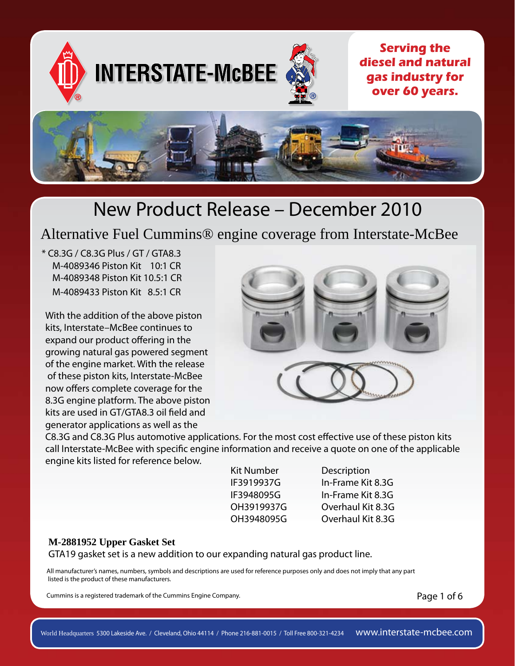

Alternative Fuel Cummins® engine coverage from Interstate-McBee

\* C8.3G / C8.3G Plus / GT / GTA8.3 M-4089346 Piston Kit 10:1 CR M-4089348 Piston Kit 10.5:1 CR M-4089433 Piston Kit 8.5:1 CR

With the addition of the above piston kits, Interstate–McBee continues to expand our product offering in the growing natural gas powered segment of the engine market. With the release of these piston kits, Interstate-McBee now offers complete coverage for the 8.3G engine platform. The above piston kits are used in GT/GTA8.3 oil field and generator applications as well as the



C8.3G and C8.3G Plus automotive applications. For the most cost effective use of these piston kits call Interstate-McBee with specific engine information and receive a quote on one of the applicable engine kits listed for reference below.

| Kit Number |
|------------|
| IF3919937G |
| IF3948095G |
| OH3919937G |
| OH3948095G |

Description In-Frame Kit 8.3G In-Frame Kit 8.3G Overhaul Kit 8.3G Overhaul Kit 8.3G

#### **M-2881952 Upper Gasket Set**

GTA19 gasket set is a new addition to our expanding natural gas product line.

All manufacturer's names, numbers, symbols and descriptions are used for reference purposes only and does not imply that any part listed is the product of these manufacturers.

Cummins is a registered trademark of the Cummins Engine Company.

Page 1 of 6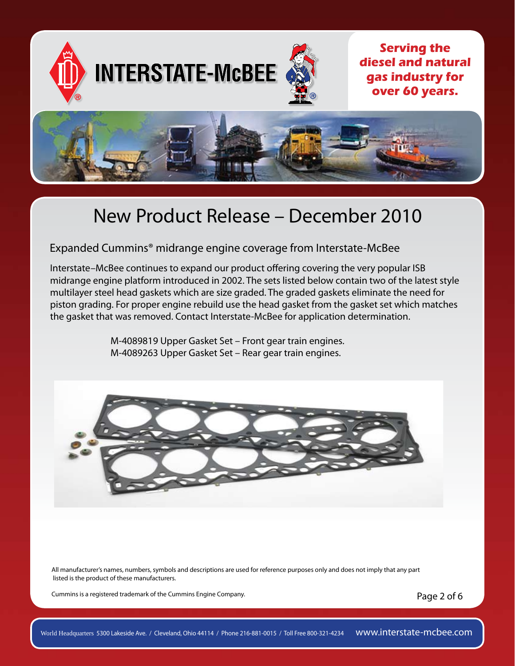

Expanded Cummins® midrange engine coverage from Interstate-McBee

Interstate–McBee continues to expand our product offering covering the very popular ISB midrange engine platform introduced in 2002. The sets listed below contain two of the latest style multilayer steel head gaskets which are size graded. The graded gaskets eliminate the need for piston grading. For proper engine rebuild use the head gasket from the gasket set which matches the gasket that was removed. Contact Interstate-McBee for application determination.

> M-4089819 Upper Gasket Set – Front gear train engines. M-4089263 Upper Gasket Set – Rear gear train engines.



All manufacturer's names, numbers, symbols and descriptions are used for reference purposes only and does not imply that any part listed is the product of these manufacturers.

Cummins is a registered trademark of the Cummins Engine Company.

Page 2 of 6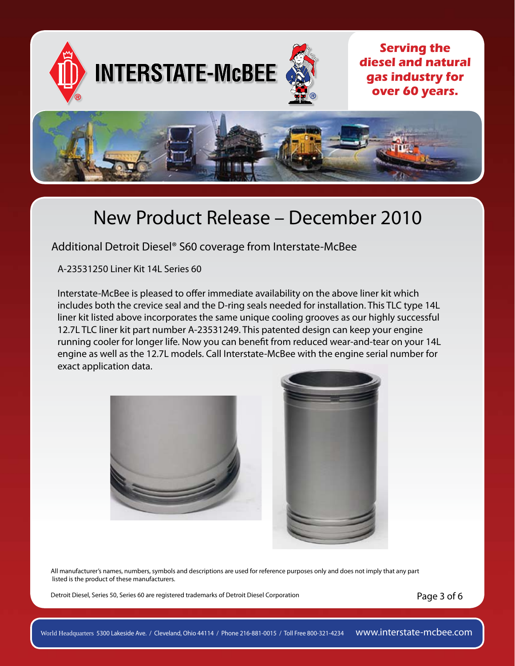

Additional Detroit Diesel® S60 coverage from Interstate-McBee

A-23531250 Liner Kit 14L Series 60

Interstate-McBee is pleased to offer immediate availability on the above liner kit which includes both the crevice seal and the D-ring seals needed for installation. This TLC type 14L liner kit listed above incorporates the same unique cooling grooves as our highly successful 12.7L TLC liner kit part number A-23531249. This patented design can keep your engine running cooler for longer life. Now you can benefit from reduced wear-and-tear on your 14L engine as well as the 12.7L models. Call Interstate-McBee with the engine serial number for exact application data.





All manufacturer's names, numbers, symbols and descriptions are used for reference purposes only and does not imply that any part listed is the product of these manufacturers.

Detroit Diesel, Series 50, Series 60 are registered trademarks of Detroit Diesel Corporation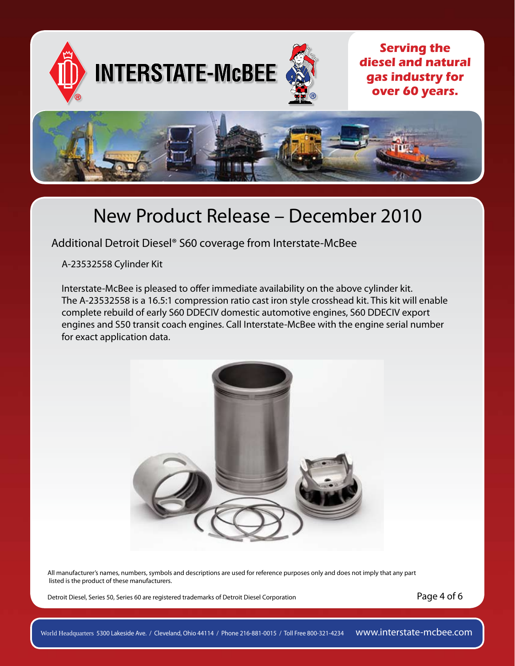

Additional Detroit Diesel® S60 coverage from Interstate-McBee

A-23532558 Cylinder Kit

Interstate-McBee is pleased to offer immediate availability on the above cylinder kit. The A-23532558 is a 16.5:1 compression ratio cast iron style crosshead kit. This kit will enable complete rebuild of early S60 DDECIV domestic automotive engines, S60 DDECIV export engines and S50 transit coach engines. Call Interstate-McBee with the engine serial number for exact application data.



All manufacturer's names, numbers, symbols and descriptions are used for reference purposes only and does not imply that any part listed is the product of these manufacturers.

Detroit Diesel, Series 50, Series 60 are registered trademarks of Detroit Diesel Corporation

Page 4 of 6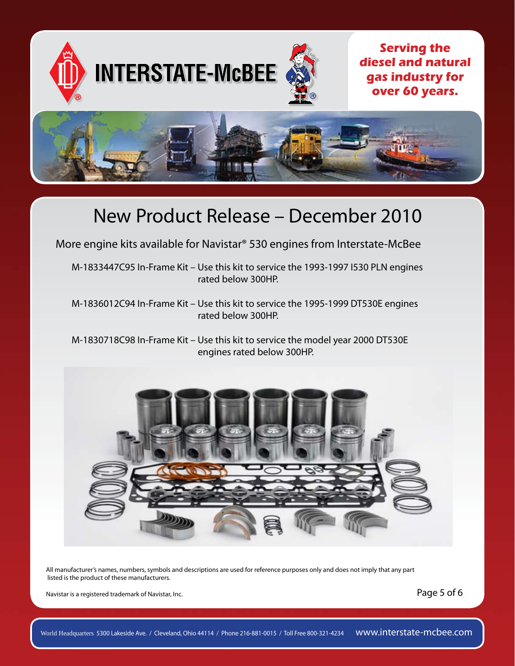

More engine kits available for Navistar® 530 engines from Interstate-McBee

M-1833447C95 In-Frame Kit – Use this kit to service the 1993-1997 I530 PLN engines rated below 300HP.

M-1836012C94 In-Frame Kit – Use this kit to service the 1995-1999 DT530E engines rated below 300HP.

M-1830718C98 In-Frame Kit – Use this kit to service the model year 2000 DT530E engines rated below 300HP.



All manufacturer's names, numbers, symbols and descriptions are used for reference purposes only and does not imply that any part listed is the product of these manufacturers.

Navistar is a registered trademark of Navistar, Inc.

Page 5 of 6